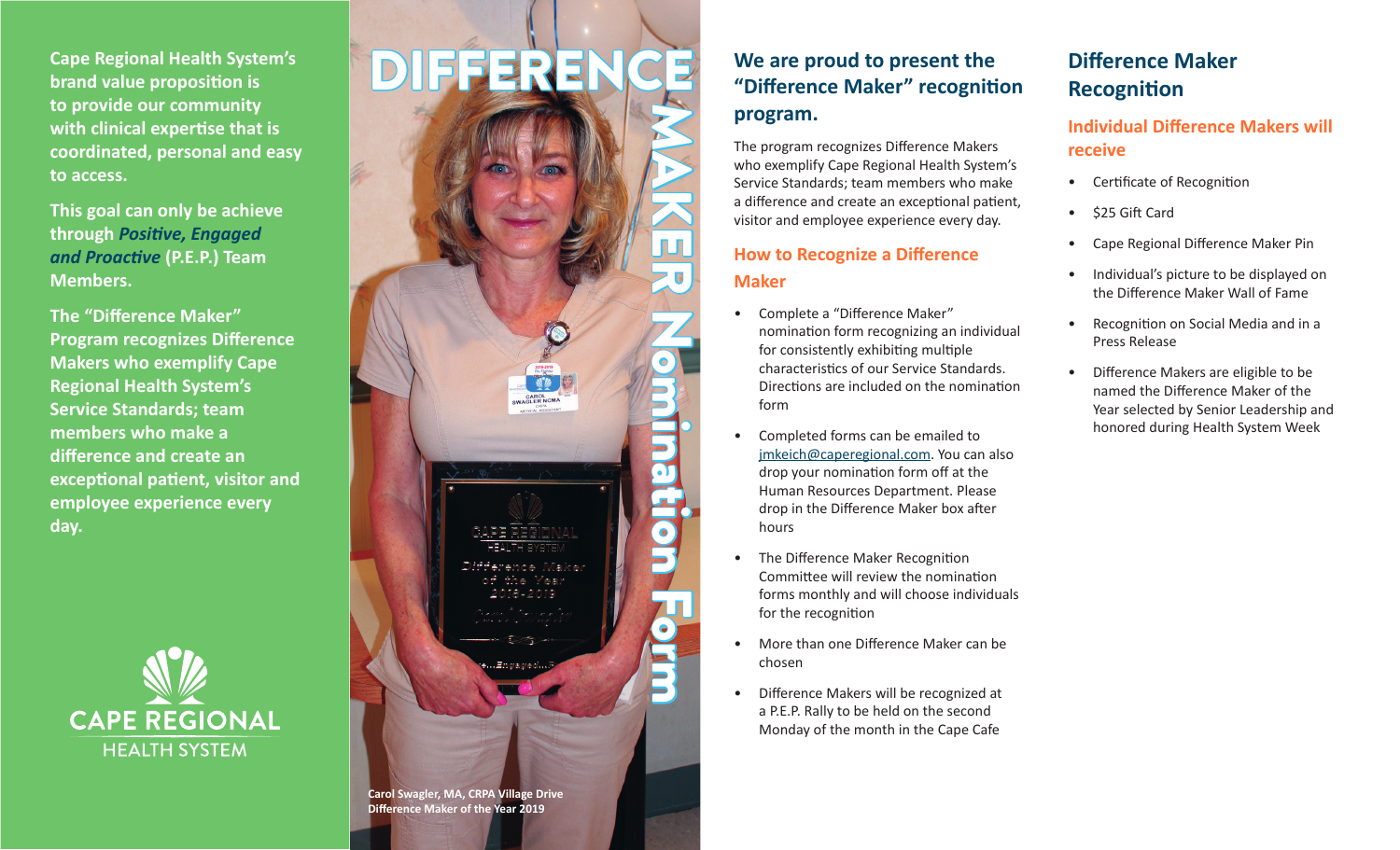**Cape Regional Health System's brand value proposition is to provide our community with clinical expertise that is coordinated, personal and easy to access.**

**This goal can only be achieve through** *Positive, Engaged and Proactive* **(P.E.P.) Team Members.**

**The "Difference Maker" Program recognizes Difference Makers who exemplify Cape Regional Health System's Service Standards; team members who make a difference and create an exceptional patient, visitor and employee experience every day.**



# DIFFEREN MAKER Nomination Form

**Carol Swagler, MA, CRPA Village Drive Difference Maker of the Year 2019**

# **We are proud to present the "Difference Maker" recognition program.**

The program recognizes Difference Makers who exemplify Cape Regional Health System's Service Standards; team members who make a difference and create an exceptional patient, visitor and employee experience every day.

## **How to Recognize a Difference Maker**

- Complete a "Difference Maker" nomination form recognizing an individual for consistently exhibiting multiple characteristics of our Service Standards. Directions are included on the nomination form
- Completed forms can be emailed to jmkeich@caperegional.com. You can also drop your nomination form off at the Human Resources Department. Please drop in the Difference Maker box after hours
- The Difference Maker Recognition Committee will review the nomination forms monthly and will choose individuals for the recognition
- More than one Difference Maker can be chosen
- Difference Makers will be recognized at a P.E.P. Rally to be held on the second Monday of the month in the Cape Cafe

# **Difference Maker Recognition**

### **Individual Difference Makers will receive**

- Certificate of Recognition
- \$25 Gift Card
- Cape Regional Difference Maker Pin
- Individual's picture to be displayed on the Difference Maker Wall of Fame
- Recognition on Social Media and in a Press Release
- Difference Makers are eligible to be named the Difference Maker of the Year selected by Senior Leadership and honored during Health System Week